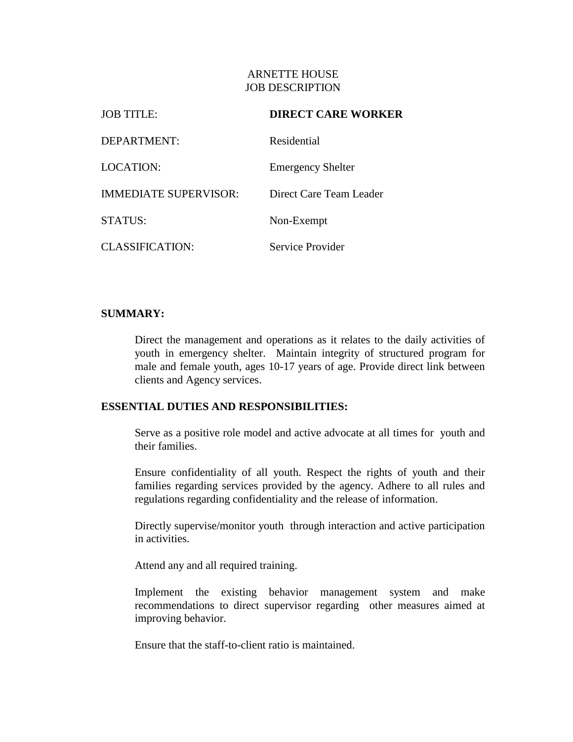## ARNETTE HOUSE JOB DESCRIPTION

| <b>JOB TITLE:</b>            | <b>DIRECT CARE WORKER</b> |  |
|------------------------------|---------------------------|--|
| DEPARTMENT:                  | Residential               |  |
| LOCATION:                    | <b>Emergency Shelter</b>  |  |
| <b>IMMEDIATE SUPERVISOR:</b> | Direct Care Team Leader   |  |
| STATUS:                      | Non-Exempt                |  |
| <b>CLASSIFICATION:</b>       | Service Provider          |  |

## **SUMMARY:**

Direct the management and operations as it relates to the daily activities of youth in emergency shelter. Maintain integrity of structured program for male and female youth, ages 10-17 years of age. Provide direct link between clients and Agency services.

## **ESSENTIAL DUTIES AND RESPONSIBILITIES:**

Serve as a positive role model and active advocate at all times for youth and their families.

Ensure confidentiality of all youth. Respect the rights of youth and their families regarding services provided by the agency. Adhere to all rules and regulations regarding confidentiality and the release of information.

Directly supervise/monitor youth through interaction and active participation in activities.

Attend any and all required training.

Implement the existing behavior management system and make recommendations to direct supervisor regarding other measures aimed at improving behavior.

Ensure that the staff-to-client ratio is maintained.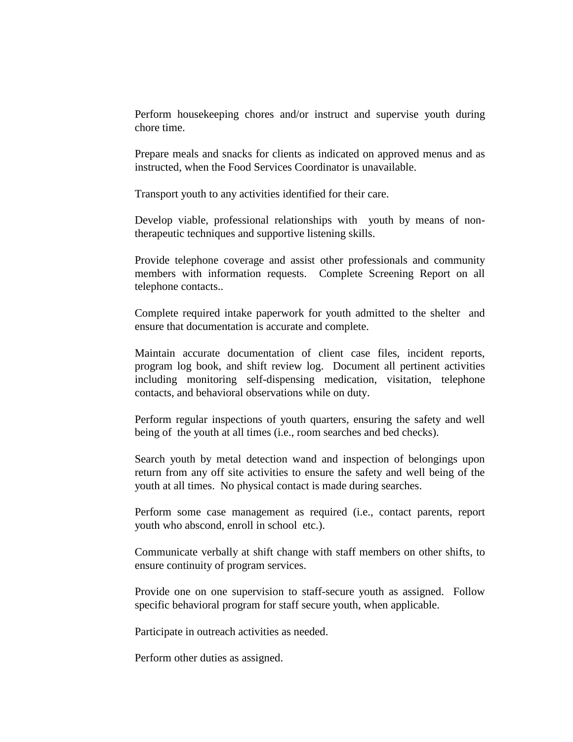Perform housekeeping chores and/or instruct and supervise youth during chore time.

Prepare meals and snacks for clients as indicated on approved menus and as instructed, when the Food Services Coordinator is unavailable.

Transport youth to any activities identified for their care.

Develop viable, professional relationships with youth by means of nontherapeutic techniques and supportive listening skills.

Provide telephone coverage and assist other professionals and community members with information requests. Complete Screening Report on all telephone contacts..

Complete required intake paperwork for youth admitted to the shelter and ensure that documentation is accurate and complete.

Maintain accurate documentation of client case files, incident reports, program log book, and shift review log. Document all pertinent activities including monitoring self-dispensing medication, visitation, telephone contacts, and behavioral observations while on duty.

Perform regular inspections of youth quarters, ensuring the safety and well being of the youth at all times (i.e., room searches and bed checks).

Search youth by metal detection wand and inspection of belongings upon return from any off site activities to ensure the safety and well being of the youth at all times. No physical contact is made during searches.

Perform some case management as required (i.e., contact parents, report youth who abscond, enroll in school etc.).

Communicate verbally at shift change with staff members on other shifts, to ensure continuity of program services.

Provide one on one supervision to staff-secure youth as assigned. Follow specific behavioral program for staff secure youth, when applicable.

Participate in outreach activities as needed.

Perform other duties as assigned.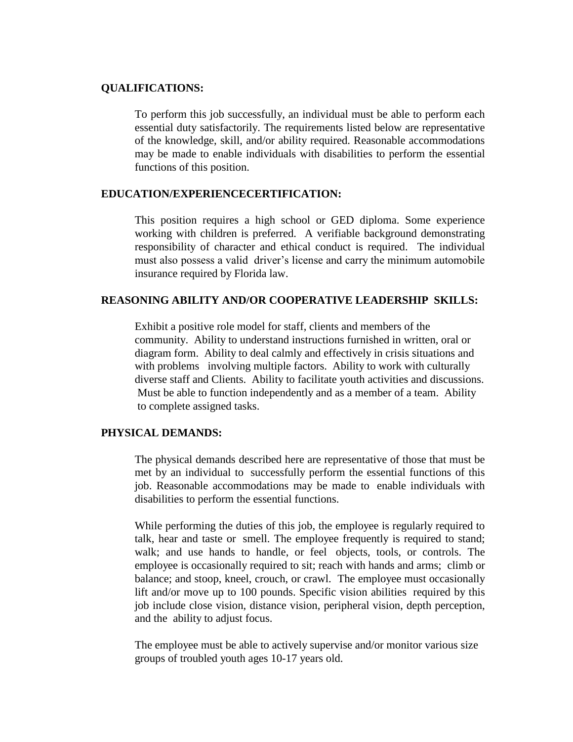#### **QUALIFICATIONS:**

To perform this job successfully, an individual must be able to perform each essential duty satisfactorily. The requirements listed below are representative of the knowledge, skill, and/or ability required. Reasonable accommodations may be made to enable individuals with disabilities to perform the essential functions of this position.

## **EDUCATION/EXPERIENCECERTIFICATION:**

This position requires a high school or GED diploma. Some experience working with children is preferred. A verifiable background demonstrating responsibility of character and ethical conduct is required. The individual must also possess a valid driver's license and carry the minimum automobile insurance required by Florida law.

## **REASONING ABILITY AND/OR COOPERATIVE LEADERSHIP SKILLS:**

Exhibit a positive role model for staff, clients and members of the community. Ability to understand instructions furnished in written, oral or diagram form. Ability to deal calmly and effectively in crisis situations and with problems involving multiple factors. Ability to work with culturally diverse staff and Clients. Ability to facilitate youth activities and discussions. Must be able to function independently and as a member of a team. Ability to complete assigned tasks.

# **PHYSICAL DEMANDS:**

The physical demands described here are representative of those that must be met by an individual to successfully perform the essential functions of this job. Reasonable accommodations may be made to enable individuals with disabilities to perform the essential functions.

While performing the duties of this job, the employee is regularly required to talk, hear and taste or smell. The employee frequently is required to stand; walk; and use hands to handle, or feel objects, tools, or controls. The employee is occasionally required to sit; reach with hands and arms; climb or balance; and stoop, kneel, crouch, or crawl. The employee must occasionally lift and/or move up to 100 pounds. Specific vision abilities required by this job include close vision, distance vision, peripheral vision, depth perception, and the ability to adjust focus.

 The employee must be able to actively supervise and/or monitor various size groups of troubled youth ages 10-17 years old.